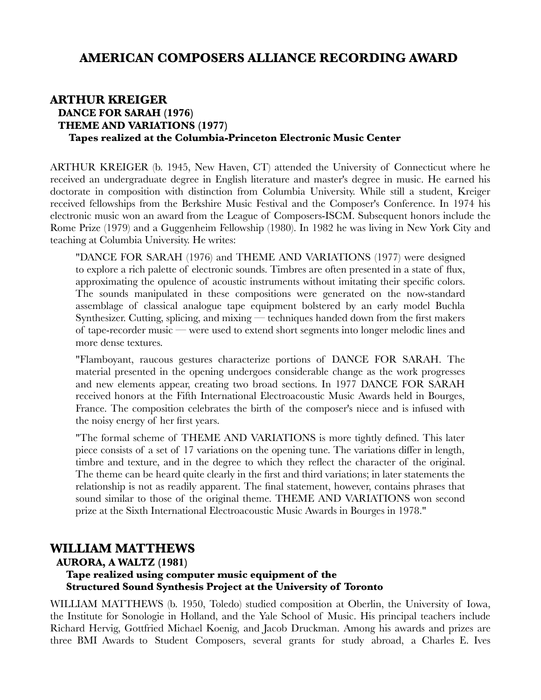# **AMERICAN COMPOSERS ALLIANCE RECORDING AWARD**

### **ARTHUR KREIGER DANCE FOR SARAH (1976) THEME AND VARIATIONS (1977) Tapes realized at the Columbia-Princeton Electronic Music Center**

ARTHUR KREIGER (b. 1945, New Haven, CT) attended the University of Connecticut where he received an undergraduate degree in English literature and master's degree in music. He earned his doctorate in composition with distinction from Columbia University. While still a student, Kreiger received fellowships from the Berkshire Music Festival and the Composer's Conference. In 1974 his electronic music won an award from the League of Composers-ISCM. Subsequent honors include the Rome Prize (1979) and a Guggenheim Fellowship (1980). In 1982 he was living in New York City and teaching at Columbia University. He writes:

"DANCE FOR SARAH (1976) and THEME AND VARIATIONS (1977) were designed to explore a rich palette of electronic sounds. Timbres are often presented in a state of flux, approximating the opulence of acoustic instruments without imitating their specific colors. The sounds manipulated in these compositions were generated on the now-standard assemblage of classical analogue tape equipment bolstered by an early model Buchla Synthesizer. Cutting, splicing, and mixing — techniques handed down from the first makers of tape-recorder music — were used to extend short segments into longer melodic lines and more dense textures.

"Flamboyant, raucous gestures characterize portions of DANCE FOR SARAH. The material presented in the opening undergoes considerable change as the work progresses and new elements appear, creating two broad sections. In 1977 DANCE FOR SARAH received honors at the Fifth International Electroacoustic Music Awards held in Bourges, France. The composition celebrates the birth of the composer's niece and is infused with the noisy energy of her first years.

"The formal scheme of THEME AND VARIATIONS is more tightly defined. This later piece consists of a set of 17 variations on the opening tune. The variations differ in length, timbre and texture, and in the degree to which they reflect the character of the original. The theme can be heard quite clearly in the first and third variations; in later statements the relationship is not as readily apparent. The final statement, however, contains phrases that sound similar to those of the original theme. THEME AND VARIATIONS won second prize at the Sixth International Electroacoustic Music Awards in Bourges in 1978."

# **WILLIAM MATTHEWS**

#### **AURORA, A WALTZ (1981)**

### **Tape realized using computer music equipment of the Structured Sound Synthesis Project at the University of Toronto**

WILLIAM MATTHEWS (b. 1950, Toledo) studied composition at Oberlin, the University of Iowa, the Institute for Sonologie in Holland, and the Yale School of Music. His principal teachers include Richard Hervig, Gottfried Michael Koenig, and Jacob Druckman. Among his awards and prizes are three BMI Awards to Student Composers, several grants for study abroad, a Charles E. Ives